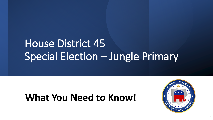# House District 45 Special Election – Jungle Primary

# **What You Need to Know!**



1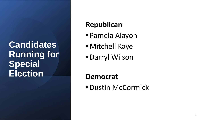#### **Candidates Running for Special Election**

#### **Republican**

- Pamela Alayon
- Mitchell Kaye
- •Darryl Wilson

#### **Democrat**

•Dustin McCormick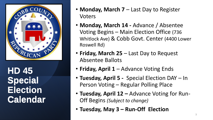

**HD 45 HD 45 Special Election Election Calendar Calendar**

- **Monday, March 7** Last Day to Register Voters
- **Monday, March 14 -** Advance / Absentee Voting Begins – Main Election Office (736 Whitlock Ave) & Cobb Govt. Center (4400 Lower Roswell Rd)
- **Friday, March 25**  Last Day to Request Absentee Ballots
- **Friday, April 1**  Advance Voting Ends
- **Tuesday, April 5 -** Special Election DAY In Person Voting – Regular Polling Place
- **Tuesday, April 12 –** Advance Voting for Run-Off Begins *(Subject to change)*
- **Tuesday, May 3 – Run-Off Election**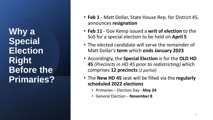**Why a Special Election Right Before the Primaries?**

- **Feb 1** Matt Dollar, State House Rep. for District 45, announces **resignation**
- **Feb 11**  Gov Kemp issued a **writ of election** to the SoS for a special election to be held on **April 5**
- The elected candidate will serve the remainder of Matt Dollar's **term** which **ends January 2023**
- Accordingly, the **Special Election** is for the **OLD HD 45** *(Precincts in HD 45 prior to redistricting)* which comprises **12 precincts** *(2 partial)*
- The **New HD 45** seat will be filled via the **regularly scheduled 2022 elections**
	- Primaries Election Day **May 24**
	- General Election **November 8**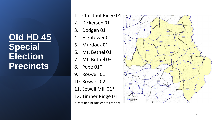**Old HD 45 Special Election Precincts**

- 1. Chestnut Ridge 01
- 2. Dickerson 01
- 3. Dodgen 01
- 4. Hightower 01
- 5. Murdock 01
- 6. Mt. Bethel 01
- 7. Mt. Bethel 03
- 8. Pope 01\*
- 9. Roswell 01
- 10. Roswell 02
- 11. Sewell Mill 01\*
- 12. Timber Ridge 01
- \* Does not include entire precinct

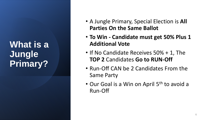### **What is a Jungle Primary?**

- A Jungle Primary, Special Election is **All Parties On the Same Ballot**
- **To Win - Candidate must get 50% Plus 1 Additional Vote**
- If No Candidate Receives 50% + 1, The **TOP 2** Candidates **Go to RUN-Off**
- Run-Off CAN be 2 Candidates From the Same Party
- Our Goal is a Win on April 5<sup>th</sup> to avoid a Run-Off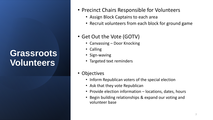## **Grassroots Volunteers**

- Precinct Chairs Responsible for Volunteers
	- Assign Block Captains to each area
	- Recruit volunteers from each block for ground game

#### • Get Out the Vote (GOTV)

- Canvassing Door Knocking
- Calling
- Sign-waving
- Targeted text reminders
- Objectives
	- Inform Republican voters of the special election
	- Ask that they vote Republican
	- Provide election information locations, dates, hours
	- Begin building relationships & expand our voting and volunteer base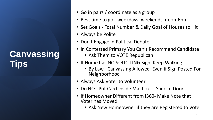# **Canvassing Tips**

- Go in pairs / coordinate as a group
- Best time to go weekdays, weekends, noon-6pm
- Set Goals Total Number & Daily Goal of Houses to Hit
- Always be Polite
- Don't Engage in Political Debate
- In Contested Primary You Can't Recommend Candidate
	- Ask Them to VOTE Republican
- If Home has NO SOLICITING Sign, Keep Walking
	- By Law –Canvassing Allowed Even if Sign Posted For Neighborhood
- Always Ask Voter to Volunteer
- Do NOT Put Card Inside Mailbox Slide in Door
- If Homeowner Different from i360- Make Note that Voter has Moved
	- Ask New Homeowner if they are Registered to Vote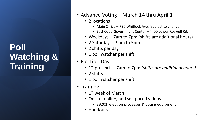#### **Poll Watching & Training**

- Advance Voting March 14 thru April 1
	- 2 locations
		- Main Office 736 Whitlock Ave. (subject to change)
		- East Cobb Government Center 4400 Lower Roswell Rd.
	- Weekdays 7am to 7pm (shifts are additional hours)
	- 2 Saturdays 9am to 5pm
	- 2 shifts per day
	- 1 poll watcher per shift
- Election Day
	- 12 precincts 7am to 7pm *(shifts are additional hours)*
	- 2 shifts
	- 1 poll watcher per shift
- Training
	- 1<sup>st</sup> week of March
	- Onsite, online, and self paced videos
		- SB202, election processes & voting equipment
	- Handouts